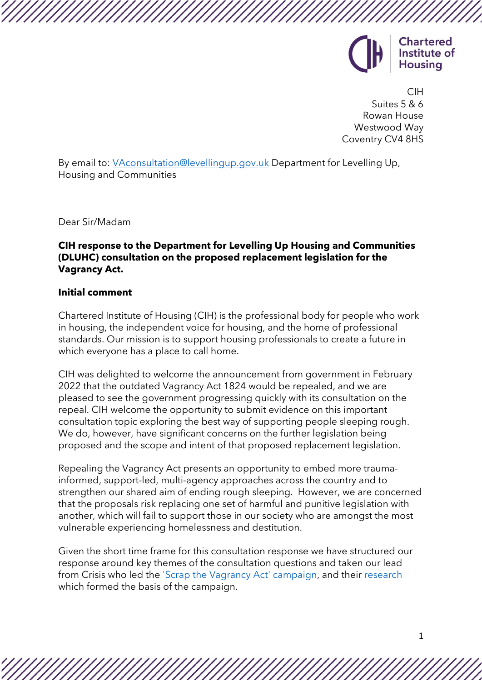

CIH Suites 5 & 6 Rowan House Westwood Way Coventry CV4 8HS

By email to: [VAconsultation@levellingup.gov.uk](mailto:VAconsultation@levellingup.gov.uk) Department for Levelling Up, Housing and Communities

Dear Sir/Madam

# **CIH response to the Department for Levelling Up Housing and Communities (DLUHC) consultation on the proposed replacement legislation for the Vagrancy Act.**

#### **Initial comment**

Chartered Institute of Housing (CIH) is the professional body for people who work in housing, the independent voice for housing, and the home of professional standards. Our mission is to support housing professionals to create a future in which everyone has a place to call home.

CIH was delighted to welcome the announcement from government in February 2022 that the outdated Vagrancy Act 1824 would be repealed, and we are pleased to see the government progressing quickly with its consultation on the repeal. CIH welcome the opportunity to submit evidence on this important consultation topic exploring the best way of supporting people sleeping rough. We do, however, have significant concerns on the further legislation being proposed and the scope and intent of that proposed replacement legislation.

Repealing the Vagrancy Act presents an opportunity to embed more traumainformed, support-led, multi-agency approaches across the country and to strengthen our shared aim of ending rough sleeping. However, we are concerned that the proposals risk replacing one set of harmful and punitive legislation with another, which will fail to support those in our society who are amongst the most vulnerable experiencing homelessness and destitution.

Given the short time frame for this consultation response we have structured our response around key themes of the consultation questions and taken our lead from Crisis who led the ['Scrap the Vagrancy Act' campaign,](https://www.crisis.org.uk/get-involved/campaign/scrap-the-vagrancy-act/) and their [research](https://www.crisis.org.uk/media/240604/cri0220_vagrancyact_report_aw_web.pdf) which formed the basis of the campaign.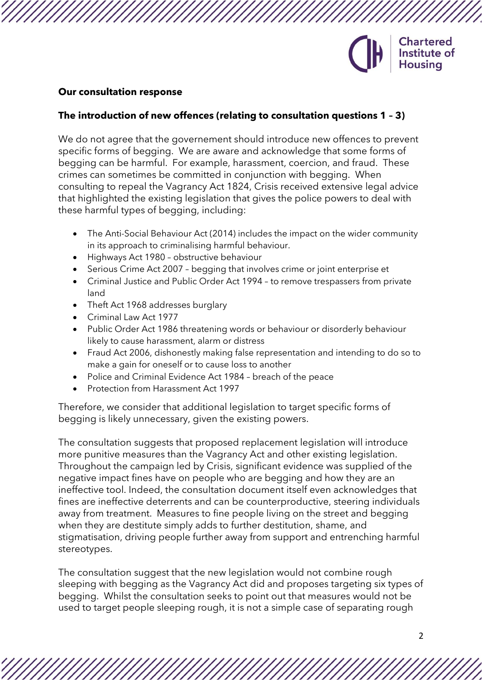

#### **Our consultation response**

### **The introduction of new offences (relating to consultation questions 1 – 3)**

We do not agree that the governement should introduce new offences to prevent specific forms of begging. We are aware and acknowledge that some forms of begging can be harmful. For example, harassment, coercion, and fraud. These crimes can sometimes be committed in conjunction with begging. When consulting to repeal the Vagrancy Act 1824, Crisis received extensive legal advice that highlighted the existing legislation that gives the police powers to deal with these harmful types of begging, including:

- The Anti-Social Behaviour Act (2014) includes the impact on the wider community in its approach to criminalising harmful behaviour.
- Highways Act 1980 obstructive behaviour
- Serious Crime Act 2007 begging that involves crime or joint enterprise et
- Criminal Justice and Public Order Act 1994 to remove trespassers from private land
- Theft Act 1968 addresses burglary
- Criminal Law Act 1977
- Public Order Act 1986 threatening words or behaviour or disorderly behaviour likely to cause harassment, alarm or distress
- Fraud Act 2006, dishonestly making false representation and intending to do so to make a gain for oneself or to cause loss to another
- Police and Criminal Evidence Act 1984 breach of the peace
- Protection from Harassment Act 1997

Therefore, we consider that additional legislation to target specific forms of begging is likely unnecessary, given the existing powers.

The consultation suggests that proposed replacement legislation will introduce more punitive measures than the Vagrancy Act and other existing legislation. Throughout the campaign led by Crisis, significant evidence was supplied of the negative impact fines have on people who are begging and how they are an ineffective tool. Indeed, the consultation document itself even acknowledges that fines are ineffective deterrents and can be counterproductive, steering individuals away from treatment. Measures to fine people living on the street and begging when they are destitute simply adds to further destitution, shame, and stigmatisation, driving people further away from support and entrenching harmful stereotypes.

The consultation suggest that the new legislation would not combine rough sleeping with begging as the Vagrancy Act did and proposes targeting six types of begging. Whilst the consultation seeks to point out that measures would not be used to target people sleeping rough, it is not a simple case of separating rough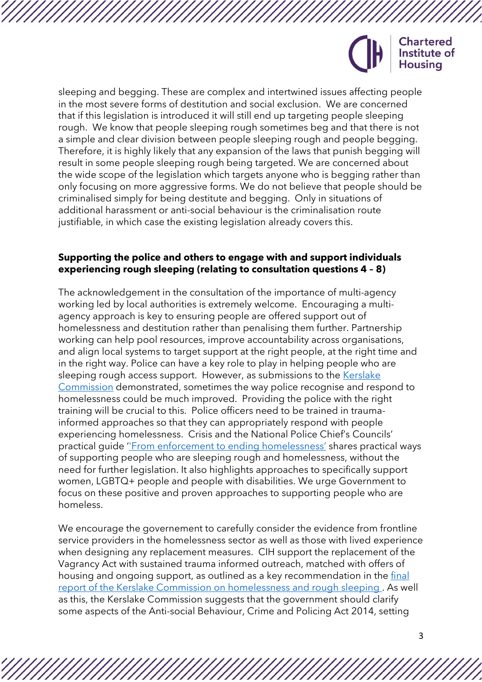

sleeping and begging. These are complex and intertwined issues affecting people in the most severe forms of destitution and social exclusion. We are concerned that if this legislation is introduced it will still end up targeting people sleeping rough. We know that people sleeping rough sometimes beg and that there is not a simple and clear division between people sleeping rough and people begging. Therefore, it is highly likely that any expansion of the laws that punish begging will result in some people sleeping rough being targeted. We are concerned about the wide scope of the legislation which targets anyone who is begging rather than only focusing on more aggressive forms. We do not believe that people should be criminalised simply for being destitute and begging. Only in situations of additional harassment or anti-social behaviour is the criminalisation route justifiable, in which case the existing legislation already covers this.

## **Supporting the police and others to engage with and support individuals experiencing rough sleeping (relating to consultation questions 4 – 8)**

The acknowledgement in the consultation of the importance of multi-agency working led by local authorities is extremely welcome. Encouraging a multiagency approach is key to ensuring people are offered support out of homelessness and destitution rather than penalising them further. Partnership working can help pool resources, improve accountability across organisations, and align local systems to target support at the right people, at the right time and in the right way. Police can have a key role to play in helping people who are sleeping rough access support. However, as submissions to the [Kerslake](https://www.commissiononroughsleeping.org/)  [Commission](https://www.commissiononroughsleeping.org/) demonstrated, sometimes the way police recognise and respond to homelessness could be much improved. Providing the police with the right training will be crucial to this. Police officers need to be trained in traumainformed approaches so that they can appropriately respond with people experiencing homelessness. Crisis and the National Police Chief's Councils' practical guide '['From enforcement to ending homelessness](https://www.crisis.org.uk/ending-homelessness/resources-for-practitioners/housing-centre-guides/from-enforcement-to-ending-homelessness-guides/)' shares practical ways of supporting people who are sleeping rough and homelessness, without the need for further legislation. It also highlights approaches to specifically support women, LGBTQ+ people and people with disabilities. We urge Government to focus on these positive and proven approaches to supporting people who are homeless.

We encourage the governement to carefully consider the evidence from frontline service providers in the homelessness sector as well as those with lived experience when designing any replacement measures. CIH support the replacement of the Vagrancy Act with sustained trauma informed outreach, matched with offers of housing and ongoing support, as outlined as a key recommendation in the [final](https://usercontent.one/wp/www.commissiononroughsleeping.org/wp-content/uploads/2021/11/Kerslake_Commission_Final_Report_21.pdf)  [report of the Kerslake Commission on homelessness and rough sleeping .](https://usercontent.one/wp/www.commissiononroughsleeping.org/wp-content/uploads/2021/11/Kerslake_Commission_Final_Report_21.pdf) As well as this, the Kerslake Commission suggests that the government should clarify some aspects of the Anti-social Behaviour, Crime and Policing Act 2014, setting